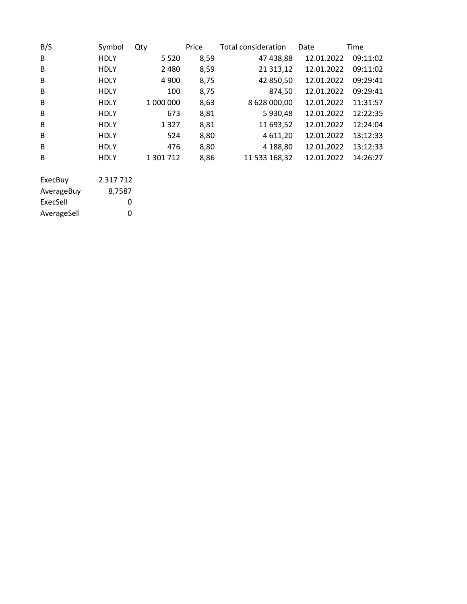| B/S         | Symbol        | Qty       | Price | Total consideration | Date       | Time     |
|-------------|---------------|-----------|-------|---------------------|------------|----------|
| B           | <b>HDLY</b>   | 5 5 2 0   | 8,59  | 47 438,88           | 12.01.2022 | 09:11:02 |
| B           | <b>HDLY</b>   | 2480      | 8,59  | 21 313,12           | 12.01.2022 | 09:11:02 |
| B           | <b>HDLY</b>   | 4 9 0 0   | 8,75  | 42 850,50           | 12.01.2022 | 09:29:41 |
| B           | <b>HDLY</b>   | 100       | 8,75  | 874,50              | 12.01.2022 | 09:29:41 |
| B           | HDLY          | 1 000 000 | 8,63  | 8 628 000,00        | 12.01.2022 | 11:31:57 |
| B           | <b>HDLY</b>   | 673       | 8,81  | 5930,48             | 12.01.2022 | 12:22:35 |
| B           | <b>HDLY</b>   | 1 3 2 7   | 8,81  | 11 693,52           | 12.01.2022 | 12:24:04 |
| B           | HDLY          | 524       | 8,80  | 4 6 1 1, 20         | 12.01.2022 | 13:12:33 |
| B           | HDLY          | 476       | 8,80  | 4 188,80            | 12.01.2022 | 13:12:33 |
| B           | <b>HDLY</b>   | 1 301 712 | 8,86  | 11 533 168,32       | 12.01.2022 | 14:26:27 |
| ExecBuy     | 2 3 1 7 7 1 2 |           |       |                     |            |          |
| AverageBuy  | 8,7587        |           |       |                     |            |          |
| ExecSell    | 0             |           |       |                     |            |          |
|             |               |           |       |                     |            |          |
| AverageSell | 0             |           |       |                     |            |          |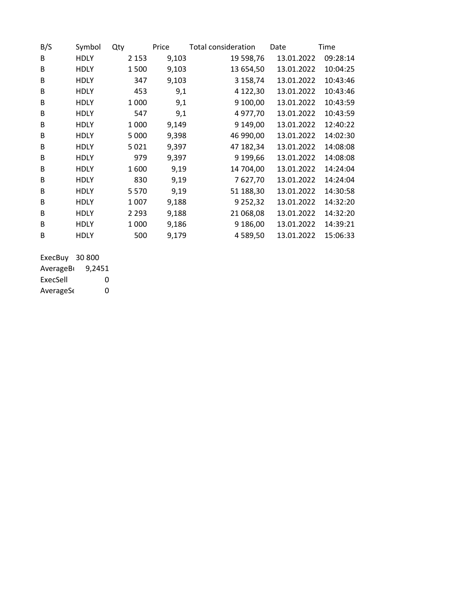| B/S | Symbol      | Qty     | Price | <b>Total consideration</b> | Date       | Time     |
|-----|-------------|---------|-------|----------------------------|------------|----------|
| B   | <b>HDLY</b> | 2 1 5 3 | 9,103 | 19 598,76                  | 13.01.2022 | 09:28:14 |
| B   | <b>HDLY</b> | 1500    | 9,103 | 13 654,50                  | 13.01.2022 | 10:04:25 |
| B   | <b>HDLY</b> | 347     | 9,103 | 3 158,74                   | 13.01.2022 | 10:43:46 |
| B   | <b>HDLY</b> | 453     | 9,1   | 4 122,30                   | 13.01.2022 | 10:43:46 |
| B   | <b>HDLY</b> | 1 0 0 0 | 9,1   | 9 100,00                   | 13.01.2022 | 10:43:59 |
| B   | <b>HDLY</b> | 547     | 9,1   | 4 977,70                   | 13.01.2022 | 10:43:59 |
| B   | <b>HDLY</b> | 1 0 0 0 | 9,149 | 9 149,00                   | 13.01.2022 | 12:40:22 |
| B   | <b>HDLY</b> | 5 0 0 0 | 9,398 | 46 990,00                  | 13.01.2022 | 14:02:30 |
| B   | <b>HDLY</b> | 5021    | 9,397 | 47 182,34                  | 13.01.2022 | 14:08:08 |
| B   | <b>HDLY</b> | 979     | 9,397 | 9 199,66                   | 13.01.2022 | 14:08:08 |
| B   | <b>HDLY</b> | 1600    | 9,19  | 14 704,00                  | 13.01.2022 | 14:24:04 |
| B   | <b>HDLY</b> | 830     | 9,19  | 7627,70                    | 13.01.2022 | 14:24:04 |
| B   | <b>HDLY</b> | 5570    | 9,19  | 51 188,30                  | 13.01.2022 | 14:30:58 |
| B   | <b>HDLY</b> | 1 0 0 7 | 9,188 | 9 2 5 2 , 3 2              | 13.01.2022 | 14:32:20 |
| B   | <b>HDLY</b> | 2 2 9 3 | 9,188 | 21 068,08                  | 13.01.2022 | 14:32:20 |
| B   | <b>HDLY</b> | 1 000   | 9,186 | 9 186,00                   | 13.01.2022 | 14:39:21 |
| B   | HDLY        | 500     | 9,179 | 4 589,50                   | 13.01.2022 | 15:06:33 |

ExecBuy 30 800 AverageB<sub>u</sub> 9,2451

ExecSell 0 AverageS<sub>6</sub> 0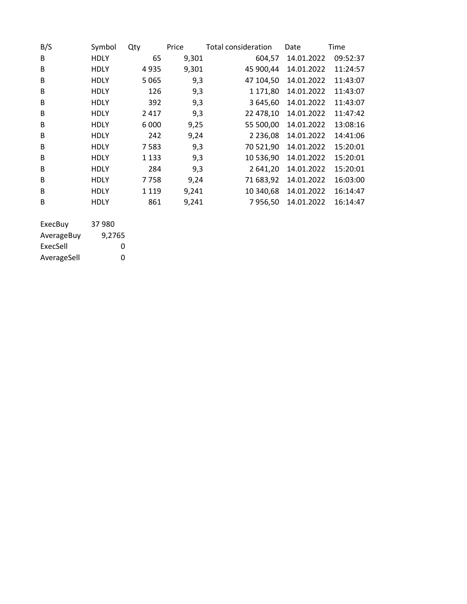| B/S | Symbol      | Qty     | Price | Total consideration | Date       | Time     |
|-----|-------------|---------|-------|---------------------|------------|----------|
| B   | <b>HDLY</b> | 65      | 9,301 | 604,57              | 14.01.2022 | 09:52:37 |
| B   | <b>HDLY</b> | 4935    | 9,301 | 45 900,44           | 14.01.2022 | 11:24:57 |
| B   | <b>HDLY</b> | 5 0 6 5 | 9,3   | 47 104,50           | 14.01.2022 | 11:43:07 |
| B   | <b>HDLY</b> | 126     | 9,3   | 1 171,80            | 14.01.2022 | 11:43:07 |
| B   | <b>HDLY</b> | 392     | 9,3   | 3 645,60            | 14.01.2022 | 11:43:07 |
| B   | <b>HDLY</b> | 2417    | 9,3   | 22 478,10           | 14.01.2022 | 11:47:42 |
| B   | <b>HDLY</b> | 6 0 0 0 | 9,25  | 55 500,00           | 14.01.2022 | 13:08:16 |
| B   | <b>HDLY</b> | 242     | 9,24  | 2 2 3 6 , 0 8       | 14.01.2022 | 14:41:06 |
| B   | <b>HDLY</b> | 7583    | 9,3   | 70 521,90           | 14.01.2022 | 15:20:01 |
| B   | <b>HDLY</b> | 1 1 3 3 | 9,3   | 10 536,90           | 14.01.2022 | 15:20:01 |
| B   | <b>HDLY</b> | 284     | 9,3   | 2 641,20            | 14.01.2022 | 15:20:01 |
| B   | <b>HDLY</b> | 7758    | 9,24  | 71 683,92           | 14.01.2022 | 16:03:00 |
| B   | <b>HDLY</b> | 1 1 1 9 | 9,241 | 10 340,68           | 14.01.2022 | 16:14:47 |
| B   | <b>HDLY</b> | 861     | 9,241 | 7956,50             | 14.01.2022 | 16:14:47 |
|     |             |         |       |                     |            |          |

| ExecBuy     | 37 980 |
|-------------|--------|
| AverageBuy  | 9,2765 |
| ExecSell    | O      |
| AverageSell | ŋ      |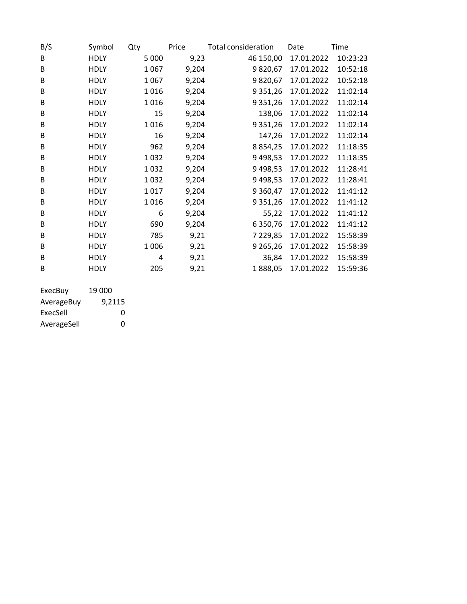| B/S | Symbol      | Qty     | Price | <b>Total consideration</b> | Date       | Time     |
|-----|-------------|---------|-------|----------------------------|------------|----------|
| B   | <b>HDLY</b> | 5 0 0 0 | 9,23  | 46 150,00                  | 17.01.2022 | 10:23:23 |
| B   | <b>HDLY</b> | 1067    | 9,204 | 9820,67                    | 17.01.2022 | 10:52:18 |
| B   | <b>HDLY</b> | 1067    | 9,204 | 9820,67                    | 17.01.2022 | 10:52:18 |
| B   | <b>HDLY</b> | 1016    | 9,204 | 9 3 5 1 , 2 6              | 17.01.2022 | 11:02:14 |
| B   | <b>HDLY</b> | 1016    | 9,204 | 9 3 5 1 , 2 6              | 17.01.2022 | 11:02:14 |
| B   | <b>HDLY</b> | 15      | 9,204 | 138,06                     | 17.01.2022 | 11:02:14 |
| B   | <b>HDLY</b> | 1016    | 9,204 | 9 3 5 1 , 2 6              | 17.01.2022 | 11:02:14 |
| B   | <b>HDLY</b> | 16      | 9,204 | 147,26                     | 17.01.2022 | 11:02:14 |
| B   | <b>HDLY</b> | 962     | 9,204 | 8 8 5 4 , 2 5              | 17.01.2022 | 11:18:35 |
| В   | <b>HDLY</b> | 1032    | 9,204 | 9 4 9 8, 5 3               | 17.01.2022 | 11:18:35 |
| B   | <b>HDLY</b> | 1032    | 9,204 | 9 4 9 8, 5 3               | 17.01.2022 | 11:28:41 |
| B   | <b>HDLY</b> | 1032    | 9,204 | 9 4 9 8, 5 3               | 17.01.2022 | 11:28:41 |
| B   | <b>HDLY</b> | 1017    | 9,204 | 9 3 6 0, 4 7               | 17.01.2022 | 11:41:12 |
| B   | <b>HDLY</b> | 1016    | 9,204 | 9 3 5 1 , 2 6              | 17.01.2022 | 11:41:12 |
| B   | <b>HDLY</b> | 6       | 9,204 | 55,22                      | 17.01.2022 | 11:41:12 |
| B   | <b>HDLY</b> | 690     | 9,204 | 6 3 5 0 , 7 6              | 17.01.2022 | 11:41:12 |
| B   | <b>HDLY</b> | 785     | 9,21  | 7 2 2 9 , 8 5              | 17.01.2022 | 15:58:39 |
| B   | <b>HDLY</b> | 1006    | 9,21  | 9 2 65, 26                 | 17.01.2022 | 15:58:39 |
| B   | <b>HDLY</b> | 4       | 9,21  | 36,84                      | 17.01.2022 | 15:58:39 |
| B   | <b>HDLY</b> | 205     | 9,21  | 1888,05                    | 17.01.2022 | 15:59:36 |
|     |             |         |       |                            |            |          |

| ExecBuy     | 19 000 |
|-------------|--------|
| AverageBuy  | 9.2115 |
| ExecSell    | O      |
| AverageSell | O      |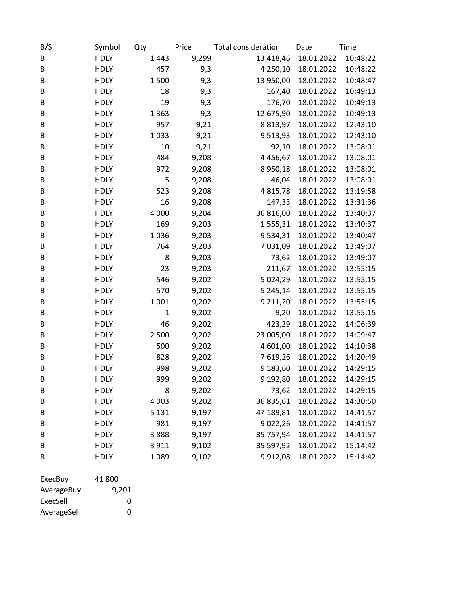| B/S     | Symbol      | Qty          | Price | <b>Total consideration</b> | Date       | Time     |
|---------|-------------|--------------|-------|----------------------------|------------|----------|
| B       | <b>HDLY</b> | 1443         | 9,299 | 13 418,46                  | 18.01.2022 | 10:48:22 |
| B       | <b>HDLY</b> | 457          | 9,3   | 4 2 5 0 , 1 0              | 18.01.2022 | 10:48:22 |
| B       | <b>HDLY</b> | 1500         | 9,3   | 13 950,00                  | 18.01.2022 | 10:48:47 |
| B       | <b>HDLY</b> | 18           | 9,3   | 167,40                     | 18.01.2022 | 10:49:13 |
| B       | <b>HDLY</b> | 19           | 9,3   | 176,70                     | 18.01.2022 | 10:49:13 |
| B       | <b>HDLY</b> | 1363         | 9,3   | 12 675,90                  | 18.01.2022 | 10:49:13 |
| B       | <b>HDLY</b> | 957          | 9,21  | 8 8 1 3 , 9 7              | 18.01.2022 | 12:43:10 |
| B       | <b>HDLY</b> | 1033         | 9,21  | 9 5 1 3 , 9 3              | 18.01.2022 | 12:43:10 |
| B       | <b>HDLY</b> | 10           | 9,21  | 92,10                      | 18.01.2022 | 13:08:01 |
| B       | <b>HDLY</b> | 484          | 9,208 | 4456,67                    | 18.01.2022 | 13:08:01 |
| B       | <b>HDLY</b> | 972          | 9,208 | 8950,18                    | 18.01.2022 | 13:08:01 |
| B       | <b>HDLY</b> | 5            | 9,208 | 46,04                      | 18.01.2022 | 13:08:01 |
| В       | <b>HDLY</b> | 523          | 9,208 | 4815,78                    | 18.01.2022 | 13:19:58 |
| B       | <b>HDLY</b> | 16           | 9,208 | 147,33                     | 18.01.2022 | 13:31:36 |
| B       | <b>HDLY</b> | 4 0 0 0      | 9,204 | 36 816,00                  | 18.01.2022 | 13:40:37 |
| B       | <b>HDLY</b> | 169          | 9,203 | 1555,31                    | 18.01.2022 | 13:40:37 |
| B       | <b>HDLY</b> | 1036         | 9,203 | 9 5 3 4 , 3 1              | 18.01.2022 | 13:40:47 |
| B       | <b>HDLY</b> | 764          | 9,203 | 7 031,09                   | 18.01.2022 | 13:49:07 |
| B       | <b>HDLY</b> | 8            | 9,203 | 73,62                      | 18.01.2022 | 13:49:07 |
| B       | <b>HDLY</b> | 23           | 9,203 | 211,67                     | 18.01.2022 | 13:55:15 |
| B       | <b>HDLY</b> | 546          | 9,202 | 5 0 2 4 , 2 9              | 18.01.2022 | 13:55:15 |
| B       | <b>HDLY</b> | 570          | 9,202 | 5 2 4 5 , 1 4              | 18.01.2022 | 13:55:15 |
| B       | <b>HDLY</b> | 1001         | 9,202 | 9 2 1 1 , 2 0              | 18.01.2022 | 13:55:15 |
| B       | <b>HDLY</b> | $\mathbf{1}$ | 9,202 | 9,20                       | 18.01.2022 | 13:55:15 |
| В       | <b>HDLY</b> | 46           | 9,202 | 423,29                     | 18.01.2022 | 14:06:39 |
| B       | <b>HDLY</b> | 2 5 0 0      | 9,202 | 23 005,00                  | 18.01.2022 | 14:09:47 |
| B       | <b>HDLY</b> | 500          | 9,202 | 4 601,00                   | 18.01.2022 | 14:10:38 |
| B       | <b>HDLY</b> | 828          | 9,202 | 7 619,26                   | 18.01.2022 | 14:20:49 |
| B       | <b>HDLY</b> | 998          | 9,202 | 9 183,60                   | 18.01.2022 | 14:29:15 |
| B       | <b>HDLY</b> | 999          | 9,202 | 9 192,80                   | 18.01.2022 | 14:29:15 |
| B       | <b>HDLY</b> | 8            | 9,202 | 73,62                      | 18.01.2022 | 14:29:15 |
| B       | <b>HDLY</b> | 4 0 0 3      | 9,202 | 36 835,61                  | 18.01.2022 | 14:30:50 |
| B       | <b>HDLY</b> | 5 1 3 1      | 9,197 | 47 189,81                  | 18.01.2022 | 14:41:57 |
| B       | <b>HDLY</b> | 981          | 9,197 | 9 0 2 2, 26                | 18.01.2022 | 14:41:57 |
| B       | <b>HDLY</b> | 3888         | 9,197 | 35 757,94                  | 18.01.2022 | 14:41:57 |
| B       | <b>HDLY</b> | 3911         | 9,102 | 35 597,92                  | 18.01.2022 | 15:14:42 |
| B       | <b>HDLY</b> | 1089         | 9,102 | 9912,08                    | 18.01.2022 | 15:14:42 |
| EvocDuv | 11 ONN      |              |       |                            |            |          |

| ExecBuy     | 41.800 |
|-------------|--------|
| AverageBuy  | 9.201  |
| ExecSell    | O      |
| AverageSell | O      |